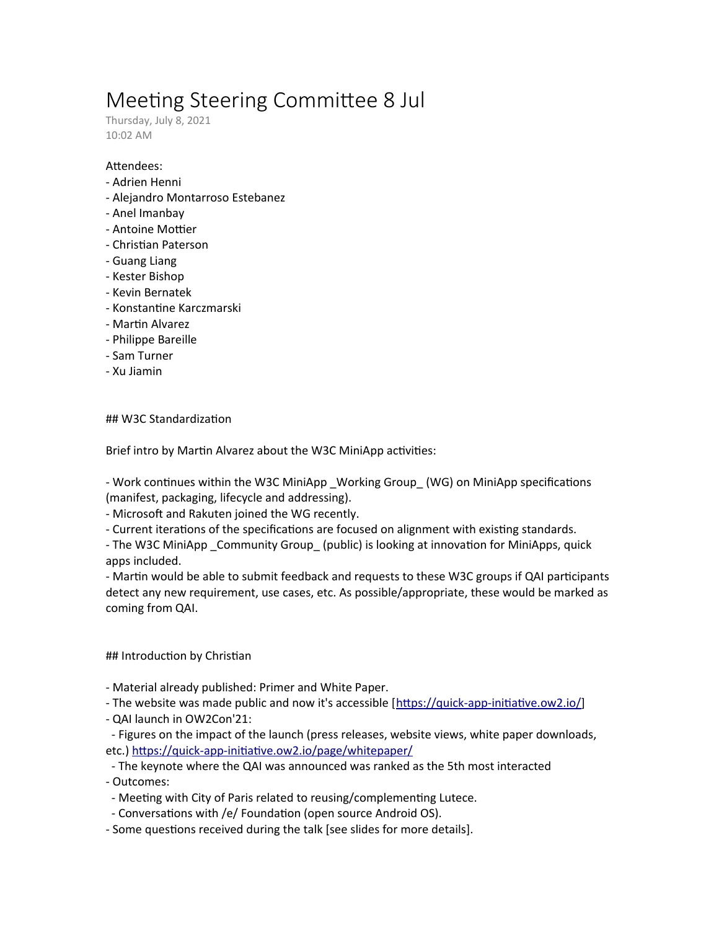# Meeting Steering Committee 8 Jul

Thursday, July 8, 2021 10:02 AM

### Attendees:

- Adrien Henni
- Alejandro Montarroso Estebanez
- Anel Imanbay
- Antoine Mottier
- Christian Paterson
- Guang Liang
- Kester Bishop
- Kevin Bernatek
- Konstantine Karczmarski
- Martin Alvarez
- Philippe Bareille
- Sam Turner
- Xu Jiamin

# ## W3C Standardization

Brief intro by Martin Alvarez about the W3C MiniApp activities:

- Work continues within the W3C MiniApp \_Working Group\_ (WG) on MiniApp specifications (manifest, packaging, lifecycle and addressing).

- Microsoft and Rakuten joined the WG recently.

- Current iterations of the specifications are focused on alignment with existing standards.

- The W3C MiniApp \_Community Group\_ (public) is looking at innovation for MiniApps, quick apps included.

- Martin would be able to submit feedback and requests to these W3C groups if QAI participants detect any new requirement, use cases, etc. As possible/appropriate, these would be marked as coming from QAI.

# ## Introduction by Christian

- Material already published: Primer and White Paper.
- The website was made public and now it's accessible [<https://quick-app-initiative.ow2.io/>]
- QAI launch in OW2Con'21:
- Figures on the impact of the launch (press releases, website views, white paper downloads, etc.)<https://quick-app-initiative.ow2.io/page/whitepaper/>
- The keynote where the QAI was announced was ranked as the 5th most interacted

- Outcomes:

- Meeting with City of Paris related to reusing/complementing Lutece.
- Conversations with /e/ Foundation (open source Android OS).
- Some questions received during the talk [see slides for more details].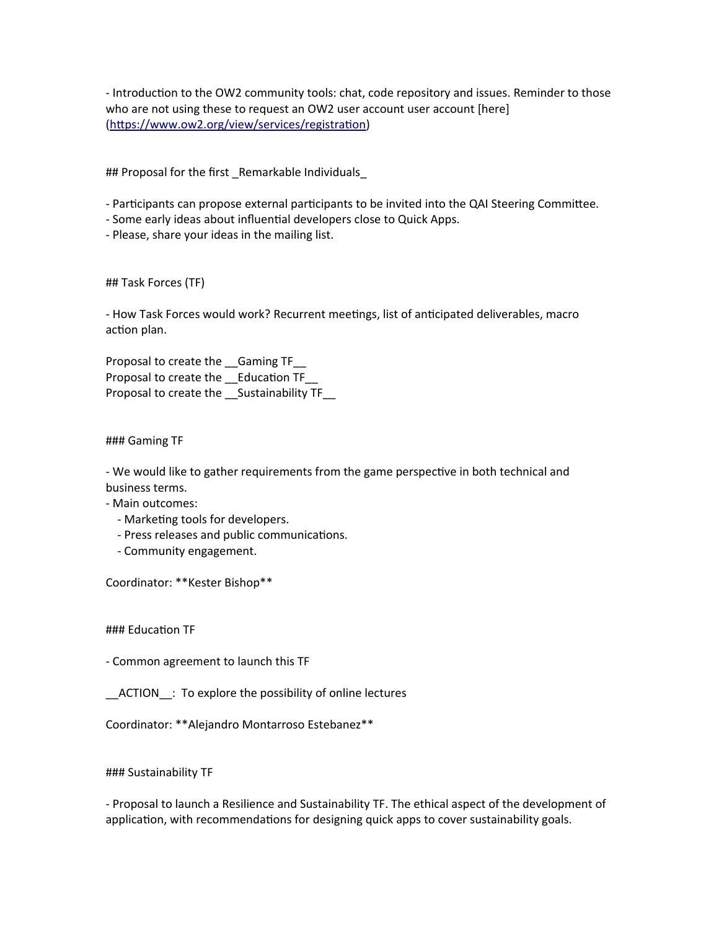- Introduction to the OW2 community tools: chat, code repository and issues. Reminder to those who are not using these to request an OW2 user account user account [here] [\(https://www.ow2.org/view/services/registration\)](https://www.ow2.org/view/services/registration)

## Proposal for the first \_Remarkable Individuals\_

- Participants can propose external participants to be invited into the QAI Steering Committee.

- Some early ideas about influential developers close to Quick Apps.

- Please, share your ideas in the mailing list.

## Task Forces (TF)

- How Task Forces would work? Recurrent meetings, list of anticipated deliverables, macro action plan.

Proposal to create the \_\_Gaming TF\_\_ Proposal to create the \_\_Education TF\_\_ Proposal to create the Sustainability TF

### Gaming TF

- We would like to gather requirements from the game perspective in both technical and business terms.

- Main outcomes:

- Marketing tools for developers.
- Press releases and public communications.
- Community engagement.

Coordinator: \*\*Kester Bishop\*\*

### Education TF

- Common agreement to launch this TF

\_\_ACTION\_\_: To explore the possibility of online lectures

Coordinator: \*\*Alejandro Montarroso Estebanez\*\*

### Sustainability TF

- Proposal to launch a Resilience and Sustainability TF. The ethical aspect of the development of application, with recommendations for designing quick apps to cover sustainability goals.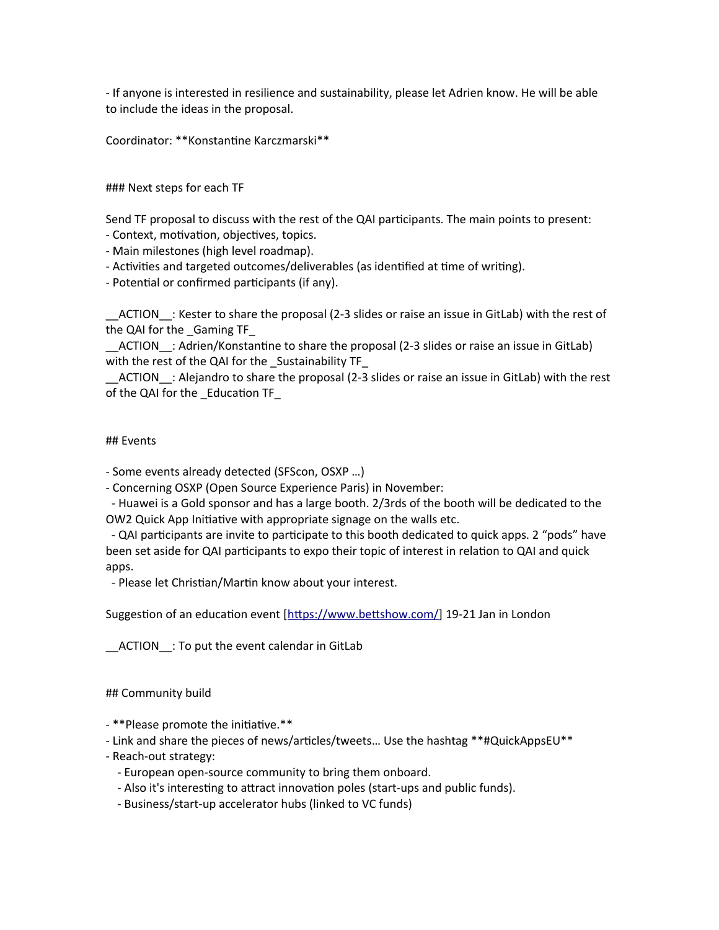- If anyone is interested in resilience and sustainability, please let Adrien know. He will be able to include the ideas in the proposal.

Coordinator: \*\*Konstantine Karczmarski\*\*

### Next steps for each TF

Send TF proposal to discuss with the rest of the QAI participants. The main points to present:

- Context, motivation, objectives, topics.

- Main milestones (high level roadmap).

- Activities and targeted outcomes/deliverables (as identified at time of writing).

- Potential or confirmed participants (if any).

\_\_ACTION\_\_: Kester to share the proposal (2-3 slides or raise an issue in GitLab) with the rest of the QAI for the Gaming TF

\_\_ACTION\_\_: Adrien/Konstantine to share the proposal (2-3 slides or raise an issue in GitLab) with the rest of the QAI for the \_Sustainability TF\_

\_\_ACTION\_\_: Alejandro to share the proposal (2-3 slides or raise an issue in GitLab) with the rest of the QAI for the \_Education TF\_

### ## Events

- Some events already detected (SFScon, OSXP …)

- Concerning OSXP (Open Source Experience Paris) in November:

 - Huawei is a Gold sponsor and has a large booth. 2/3rds of the booth will be dedicated to the OW2 Quick App Initiative with appropriate signage on the walls etc.

 - QAI participants are invite to participate to this booth dedicated to quick apps. 2 "pods" have been set aside for QAI participants to expo their topic of interest in relation to QAI and quick apps.

- Please let Christian/Martin know about your interest.

Suggestion of an education event [[https://www.bettshow.com/\]](https://www.bettshow.com/) 19-21 Jan in London

\_\_ACTION\_\_: To put the event calendar in GitLab

## Community build

- \*\*Please promote the initiative.\*\*

- Link and share the pieces of news/articles/tweets… Use the hashtag \*\*#QuickAppsEU\*\*

- Reach-out strategy:
	- European open-source community to bring them onboard.
	- Also it's interesting to attract innovation poles (start-ups and public funds).
	- Business/start-up accelerator hubs (linked to VC funds)